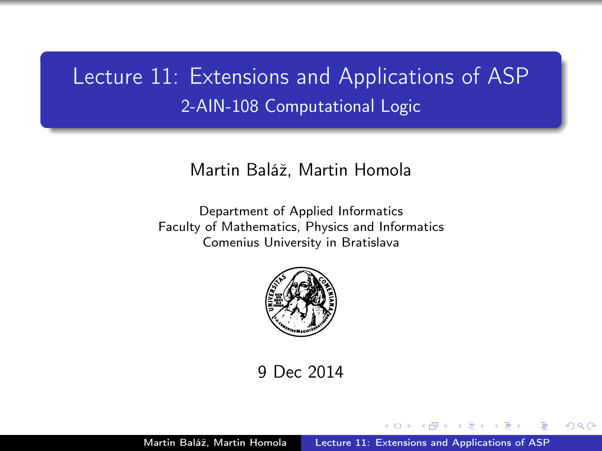## <span id="page-0-0"></span>Lecture 11: Extensions and Applications of ASP 2-AIN-108 Computational Logic

### Martin Baláž, Martin Homola

Department of Applied Informatics Faculty of Mathematics, Physics and Informatics Comenius University in Bratislava



9 Dec 2014

つくい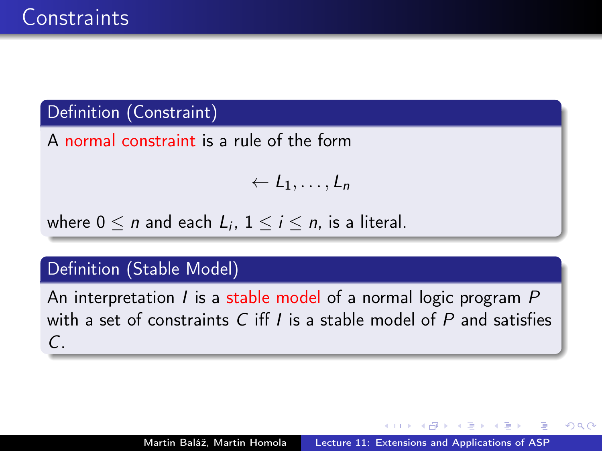## Definition (Constraint)

A normal constraint is a rule of the form

$$
\leftarrow L_1,\ldots,L_n
$$

where  $0 \leq n$  and each  $L_i$ ,  $1 \leq i \leq n$ , is a literal.

## Definition (Stable Model)

An interpretation  $I$  is a stable model of a normal logic program  $P$ with a set of constraints C iff  $I$  is a stable model of  $P$  and satisfies  $\mathcal{C}$ .

つくい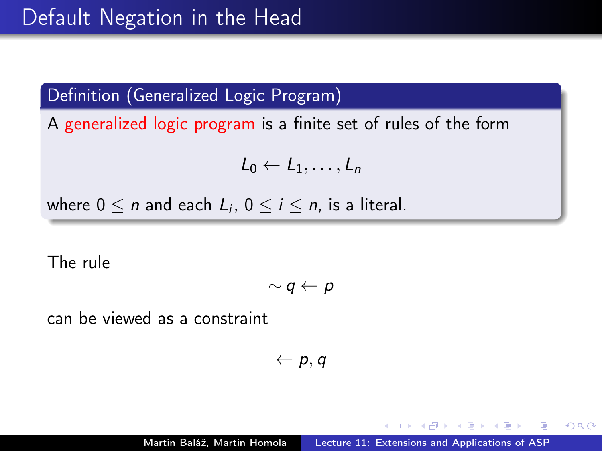Definition (Generalized Logic Program)

A generalized logic program is a finite set of rules of the form

 $L_0 \leftarrow L_1, \ldots, L_n$ 

where  $0 \leq n$  and each  $L_i$ ,  $0 \leq i \leq n$ , is a literal.

The rule

$$
\sim q \leftarrow p
$$

can be viewed as a constraint

 $\leftarrow p, q$ 

 $QQ$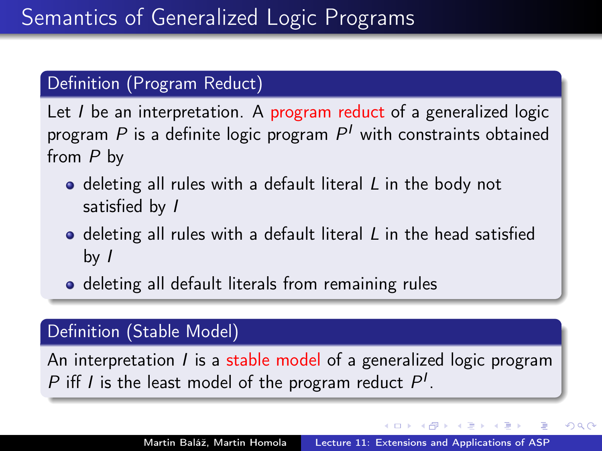### Definition (Program Reduct)

Let I be an interpretation. A program reduct of a generalized logic program  $P$  is a definite logic program  $P^{\prime}$  with constraints obtained from P by

- deleting all rules with a default literal L in the body not satisfied by I
- $\bullet$  deleting all rules with a default literal  $L$  in the head satisfied by  $\sqrt{ }$
- o deleting all default literals from remaining rules

### Definition (Stable Model)

An interpretation *I* is a stable model of a generalized logic program P iff I is the least model of the program reduct  $P<sup>I</sup>$ .

 $\Omega$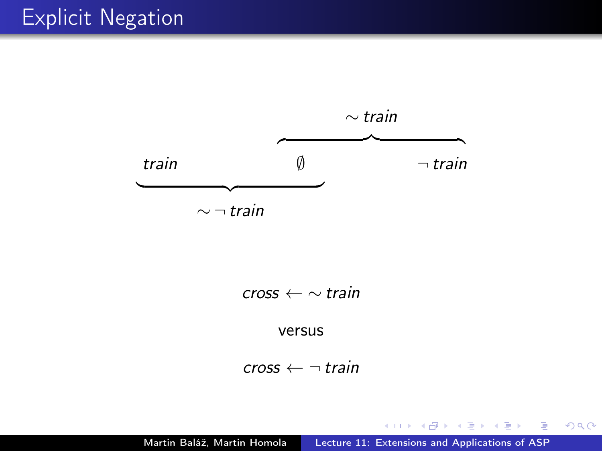

 $\mathsf{cross} \leftarrow \sim \mathsf{train}$ 

versus

 $\mathsf{cross} \leftarrow \neg \mathsf{train}$ 

4 0 8

K 御 > K 결 > K 결 > ○ 결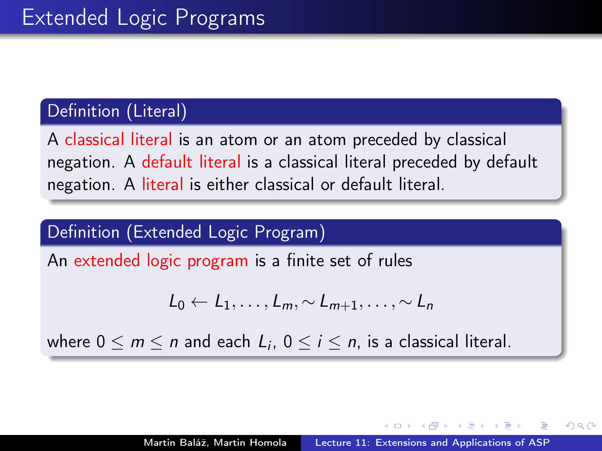## Definition (Literal)

A classical literal is an atom or an atom preceded by classical negation. A default literal is a classical literal preceded by default negation. A literal is either classical or default literal.

## Definition (Extended Logic Program)

An extended logic program is a finite set of rules

$$
L_0 \leftarrow L_1, \ldots, L_m, \sim L_{m+1}, \ldots, \sim L_n
$$

where  $0 \le m \le n$  and each  $L_i$ ,  $0 \le i \le n$ , is a classical literal.

つくい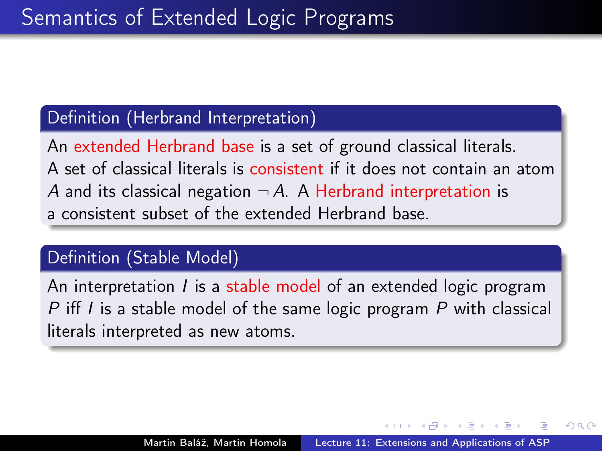#### Definition (Herbrand Interpretation)

An extended Herbrand base is a set of ground classical literals. A set of classical literals is consistent if it does not contain an atom A and its classical negation  $\neg A$ . A Herbrand interpretation is a consistent subset of the extended Herbrand base.

#### Definition (Stable Model)

An interpretation I is a stable model of an extended logic program P iff I is a stable model of the same logic program P with classical literals interpreted as new atoms.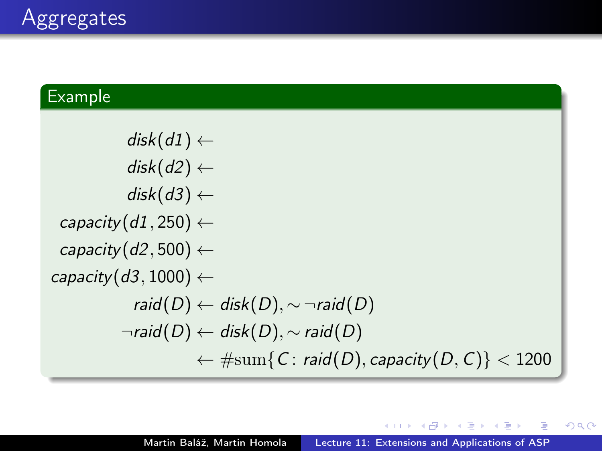### Example

 $disk(d1) \leftarrow$ disk $(d2) \leftarrow$ disk $(d3) \leftarrow$ capacity $(d1, 250) \leftarrow$ capacity( $d2, 500$ )  $\leftarrow$ capacity( $d3, 1000$ )  $\leftarrow$ raid(D) ← disk(D),  $\sim \neg$ raid(D)  $\neg$ raid $(D) \leftarrow$  disk $(D)$ ,  $\sim$  raid $(D)$  $\leftarrow \# \text{sum} \{ C : \text{raid}(D), \text{capacity}(D, C) \} < 1200$ 

4 m k

 $\equiv$ 

┌ ( コ ) → ( コ ) → (コ ) →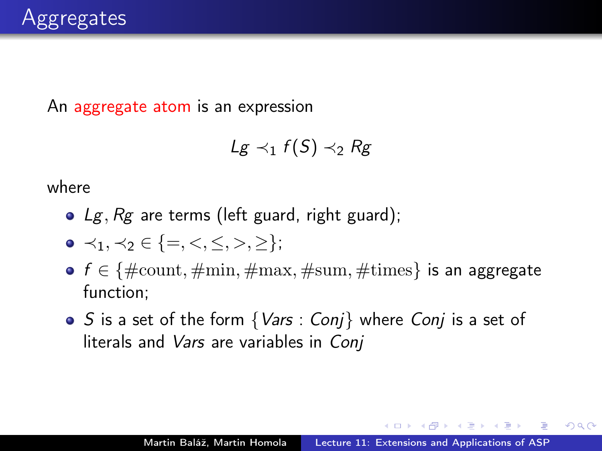An aggregate atom is an expression

$$
Lg \prec_1 f(S) \prec_2 Rg
$$

where

- $Lg$ ,  $Rg$  are terms (left guard, right guard);
- $\bullet \prec_1, \prec_2 \in \{=, <, \leq, >, \geq\};$
- $f \in \{\text{\#count}, \text{\#min}, \text{\#max}, \text{\#sum}, \text{\#times}\}$  is an aggregate function;
- $\bullet$  S is a set of the form  $\{Vars: Conj\}$  where Conj is a set of literals and Vars are variables in Conj

 $\Omega$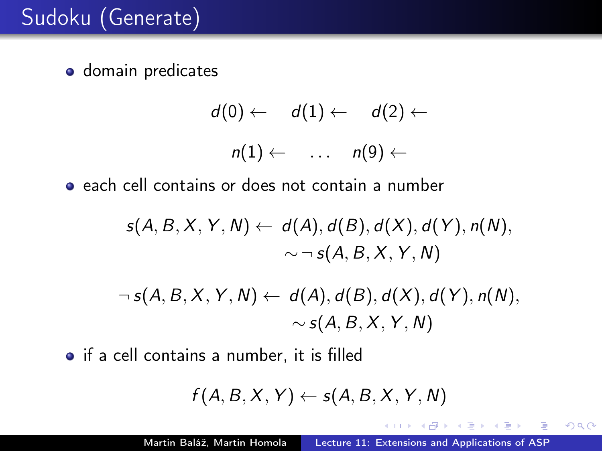**o** domain predicates

$$
d(0) \leftarrow d(1) \leftarrow d(2) \leftarrow
$$

$$
n(1) \leftarrow \dots n(9) \leftarrow
$$

**e** each cell contains or does not contain a number

$$
s(A, B, X, Y, N) \leftarrow d(A), d(B), d(X), d(Y), n(N),
$$
  

$$
\sim \neg s(A, B, X, Y, N)
$$

$$
\neg s(A, B, X, Y, N) \leftarrow d(A), d(B), d(X), d(Y), n(N),
$$
  

$$
\sim s(A, B, X, Y, N)
$$

• if a cell contains a number, it is filled

$$
f(A, B, X, Y) \leftarrow s(A, B, X, Y, N)
$$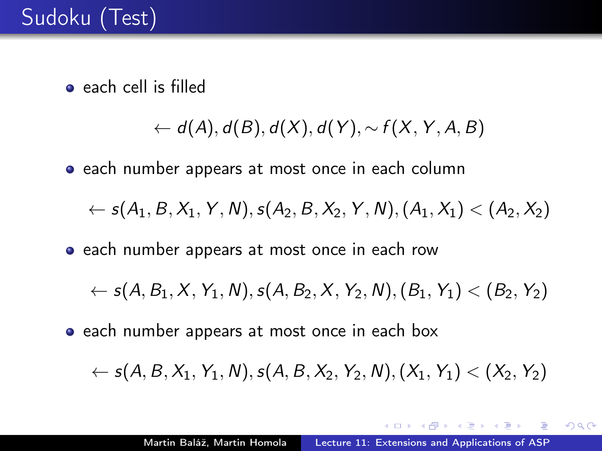• each cell is filled

 $\leftarrow d(A), d(B), d(X), d(Y), \sim f(X, Y, A, B)$ 

• each number appears at most once in each column

 $\leftarrow s(A_1, B, X_1, Y, N), s(A_2, B, X_2, Y, N), (A_1, X_1) < (A_2, X_2)$ 

• each number appears at most once in each row

 $\leftarrow s(A, B_1, X, Y_1, N), s(A, B_2, X, Y_2, N), (B_1, Y_1) < (B_2, Y_2)$ 

• each number appears at most once in each box

 $\leftarrow s(A, B, X_1, Y_1, N), s(A, B, X_2, Y_2, N), (X_1, Y_1) < (X_2, Y_2)$ 

イロメ マ海 レマモ レマモメー モ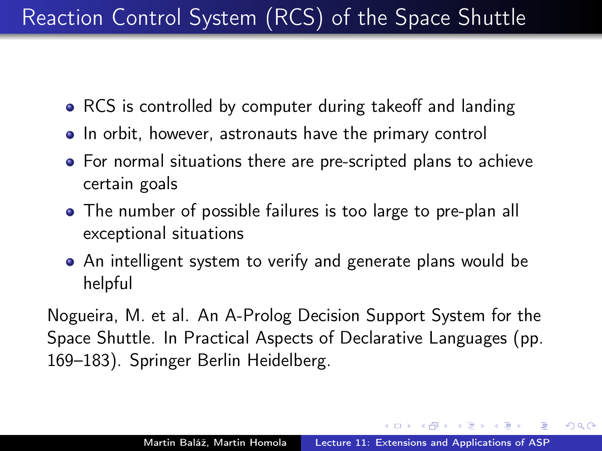# Reaction Control System (RCS) of the Space Shuttle

- RCS is controlled by computer during takeoff and landing
- In orbit, however, astronauts have the primary control
- For normal situations there are pre-scripted plans to achieve certain goals
- The number of possible failures is too large to pre-plan all exceptional situations
- An intelligent system to verify and generate plans would be helpful

Nogueira, M. et al. An A-Prolog Decision Support System for the Space Shuttle. In Practical Aspects of Declarative Languages (pp. 169–183). Springer Berlin Heidelberg.

 $AB = 2B + 2B + 2B$